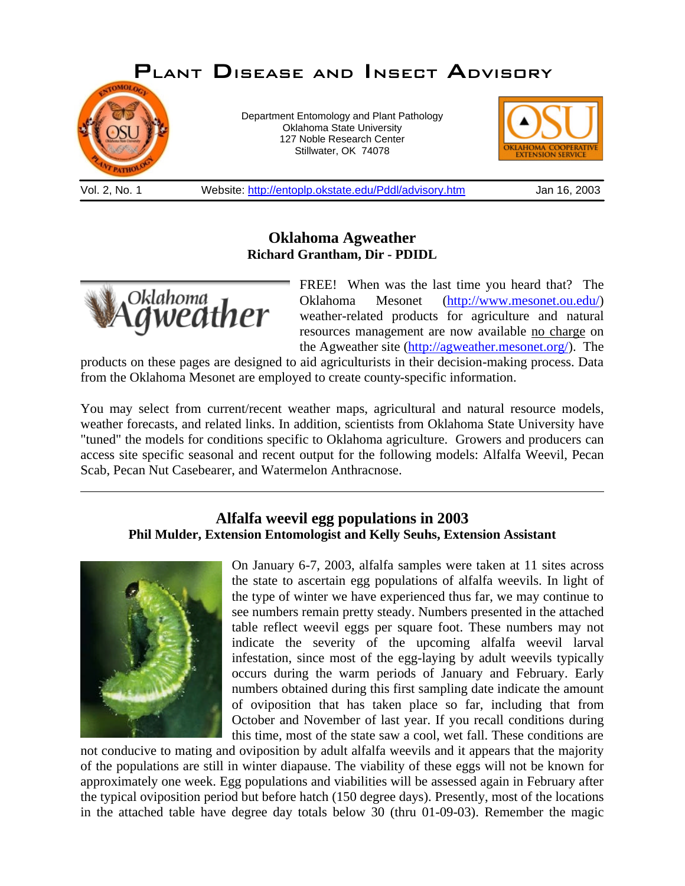## *Plant Disease and Insect Advisory*



Department Entomology and Plant Pathology Oklahoma State University 127 Noble Research Center Stillwater, OK 74078



Vol. 2, No. 1 Website: http://entoplp.okstate.edu/Pddl/advisory.htm Jan 16, 2003

## **Oklahoma Agweather Richard Grantham, Dir - PDIDL**



FREE! When was the last time you heard that? The Oklahoma Mesonet (http://www.mesonet.ou.edu/) weather-related products for agriculture and natural resources management are now available no charge on the Agweather site (http://agweather.mesonet.org/). The

products on these pages are designed to aid agriculturists in their decision-making process. Data from the Oklahoma Mesonet are employed to create county-specific information.

You may select from current/recent weather maps, agricultural and natural resource models, weather forecasts, and related links. In addition, scientists from Oklahoma State University have "tuned" the models for conditions specific to Oklahoma agriculture. Growers and producers can access site specific seasonal and recent output for the following models: Alfalfa Weevil, Pecan Scab, Pecan Nut Casebearer, and Watermelon Anthracnose.

## **Alfalfa weevil egg populations in 2003 Phil Mulder, Extension Entomologist and Kelly Seuhs, Extension Assistant**



On January 6-7, 2003, alfalfa samples were taken at 11 sites across the state to ascertain egg populations of alfalfa weevils. In light of the type of winter we have experienced thus far, we may continue to see numbers remain pretty steady. Numbers presented in the attached table reflect weevil eggs per square foot. These numbers may not indicate the severity of the upcoming alfalfa weevil larval infestation, since most of the egg-laying by adult weevils typically occurs during the warm periods of January and February. Early numbers obtained during this first sampling date indicate the amount of oviposition that has taken place so far, including that from October and November of last year. If you recall conditions during this time, most of the state saw a cool, wet fall. These conditions are

not conducive to mating and oviposition by adult alfalfa weevils and it appears that the majority of the populations are still in winter diapause. The viability of these eggs will not be known for approximately one week. Egg populations and viabilities will be assessed again in February after the typical oviposition period but before hatch (150 degree days). Presently, most of the locations in the attached table have degree day totals below 30 (thru 01-09-03). Remember the magic